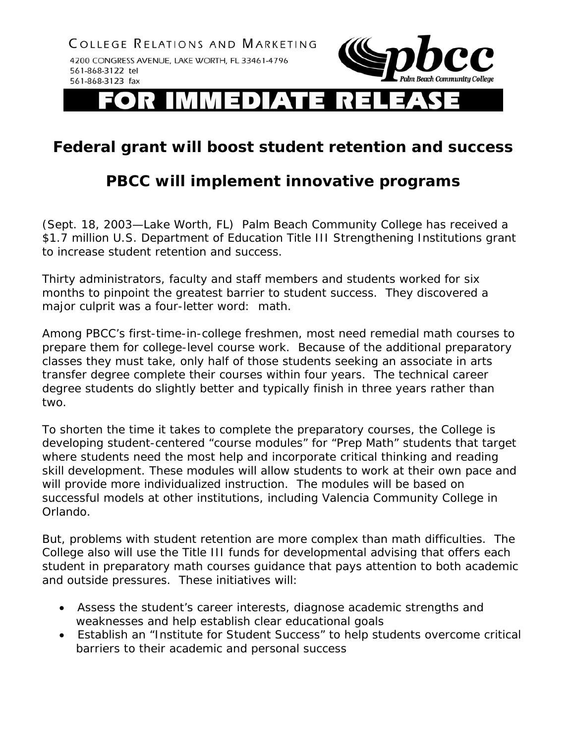COLLEGE RELATIONS AND MARKETING 4200 CONGRESS AVENUE, LAKE WORTH, FL 33461-4796 561-868-3122 tel 561-868-3123 fax



EDIATE

## **Federal grant will boost student retention and success**

## **PBCC will implement innovative programs**

(Sept. 18, 2003—Lake Worth, FL) Palm Beach Community College has received a \$1.7 million U.S. Department of Education Title III Strengthening Institutions grant to increase student retention and success.

Thirty administrators, faculty and staff members and students worked for six months to pinpoint the greatest barrier to student success. They discovered a major culprit was a four-letter word: math.

Among PBCC's first-time-in-college freshmen, most need remedial math courses to prepare them for college-level course work. Because of the additional preparatory classes they must take, only half of those students seeking an associate in arts transfer degree complete their courses within four years. The technical career degree students do slightly better and typically finish in three years rather than two.

To shorten the time it takes to complete the preparatory courses, the College is developing student-centered "course modules" for "Prep Math" students that target where students need the most help and incorporate critical thinking and reading skill development. These modules will allow students to work at their own pace and will provide more individualized instruction. The modules will be based on successful models at other institutions, including Valencia Community College in Orlando.

But, problems with student retention are more complex than math difficulties. The College also will use the Title III funds for developmental advising that offers each student in preparatory math courses guidance that pays attention to both academic and outside pressures. These initiatives will:

- Assess the student's career interests, diagnose academic strengths and weaknesses and help establish clear educational goals
- Establish an "Institute for Student Success" to help students overcome critical barriers to their academic and personal success